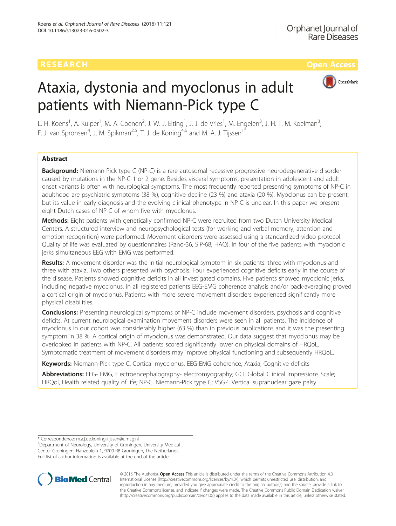

# Ataxia, dystonia and myoclonus in adult patients with Niemann-Pick type C

L. H. Koens<sup>1</sup>, A. Kuiper<sup>1</sup>, M. A. Coenen<sup>2</sup>, J. W. J. Elting<sup>1</sup>, J. J. de Vries<sup>1</sup>, M. Engelen<sup>3</sup>, J. H. T. M. Koelman<sup>3</sup> , F. J. van Spronsen<sup>4</sup>, J. M. Spikman<sup>2,5</sup>, T. J. de Koning<sup>4,6</sup> and M. A. J. Tijssen<sup>1\*</sup>

# Abstract

Background: Niemann-Pick type C (NP-C) is a rare autosomal recessive progressive neurodegenerative disorder caused by mutations in the NP-C 1 or 2 gene. Besides visceral symptoms, presentation in adolescent and adult onset variants is often with neurological symptoms. The most frequently reported presenting symptoms of NP-C in adulthood are psychiatric symptoms (38 %), cognitive decline (23 %) and ataxia (20 %). Myoclonus can be present, but its value in early diagnosis and the evolving clinical phenotype in NP-C is unclear. In this paper we present eight Dutch cases of NP-C of whom five with myoclonus.

Methods: Eight patients with genetically confirmed NP-C were recruited from two Dutch University Medical Centers. A structured interview and neuropsychological tests (for working and verbal memory, attention and emotion recognition) were performed. Movement disorders were assessed using a standardized video protocol. Quality of life was evaluated by questionnaires (Rand-36, SIP-68, HAQ). In four of the five patients with myoclonic jerks simultaneous EEG with EMG was performed.

Results: A movement disorder was the initial neurological symptom in six patients: three with myoclonus and three with ataxia. Two others presented with psychosis. Four experienced cognitive deficits early in the course of the disease. Patients showed cognitive deficits in all investigated domains. Five patients showed myoclonic jerks, including negative myoclonus. In all registered patients EEG-EMG coherence analysis and/or back-averaging proved a cortical origin of myoclonus. Patients with more severe movement disorders experienced significantly more physical disabilities.

**Conclusions:** Presenting neurological symptoms of NP-C include movement disorders, psychosis and cognitive deficits. At current neurological examination movement disorders were seen in all patients. The incidence of myoclonus in our cohort was considerably higher (63 %) than in previous publications and it was the presenting symptom in 38 %. A cortical origin of myoclonus was demonstrated. Our data suggest that myoclonus may be overlooked in patients with NP-C. All patients scored significantly lower on physical domains of HRQoL. Symptomatic treatment of movement disorders may improve physical functioning and subsequently HRQoL.

Keywords: Niemann-Pick type C, Cortical myoclonus, EEG-EMG coherence, Ataxia, Cognitive deficits

Abbreviations: EEG- EMG, Electroencephalography- electromyography; GCI, Global Clinical Impressions Scale; HRQol, Health related quality of life; NP-C, Niemann-Pick type C; VSGP, Vertical supranuclear gaze palsy

\* Correspondence: [m.a.j.de.koning-tijssen@umcg.nl](mailto:m.a.j.de.koning-tijssen@umcg.nl) <sup>1</sup>

<sup>1</sup>Department of Neurology, University of Groningen, University Medical Center Groningen, Hanzeplein 1, 9700 RB Groningen, The Netherlands Full list of author information is available at the end of the article



© 2016 The Author(s). Open Access This article is distributed under the terms of the Creative Commons Attribution 4.0 International License [\(http://creativecommons.org/licenses/by/4.0/](http://creativecommons.org/licenses/by/4.0/)), which permits unrestricted use, distribution, and reproduction in any medium, provided you give appropriate credit to the original author(s) and the source, provide a link to the Creative Commons license, and indicate if changes were made. The Creative Commons Public Domain Dedication waiver [\(http://creativecommons.org/publicdomain/zero/1.0/](http://creativecommons.org/publicdomain/zero/1.0/)) applies to the data made available in this article, unless otherwise stated.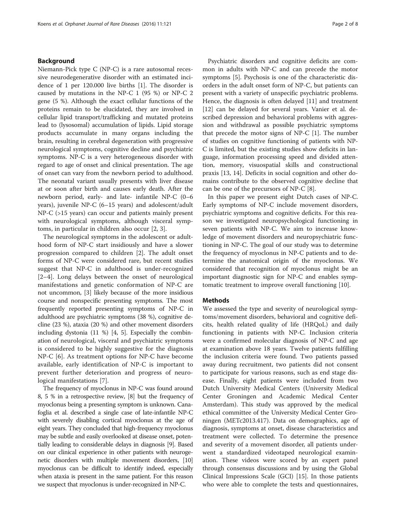# Background

Niemann-Pick type C (NP-C) is a rare autosomal recessive neurodegenerative disorder with an estimated incidence of 1 per 120.000 live births [[1\]](#page-7-0). The disorder is caused by mutations in the NP-C 1 (95 %) or NP-C 2 gene (5 %). Although the exact cellular functions of the proteins remain to be elucidated, they are involved in cellular lipid transport/trafficking and mutated proteins lead to (lysosomal) accumulation of lipids. Lipid storage products accumulate in many organs including the brain, resulting in cerebral degeneration with progressive neurological symptoms, cognitive decline and psychiatric symptoms. NP-C is a very heterogeneous disorder with regard to age of onset and clinical presentation. The age of onset can vary from the newborn period to adulthood. The neonatal variant usually presents with liver disease at or soon after birth and causes early death. After the newborn period, early- and late- infantile NP-C (0–6 years), juvenile NP-C (6–15 years) and adolescent/adult NP-C (>15 years) can occur and patients mainly present with neurological symptoms, although visceral symptoms, in particular in children also occur [[2, 3\]](#page-7-0).

The neurological symptoms in the adolescent or adulthood form of NP-C start insidiously and have a slower progression compared to children [[2\]](#page-7-0). The adult onset forms of NP-C were considered rare, but recent studies suggest that NP-C in adulthood is under-recognized [[2](#page-7-0)–[4\]](#page-7-0). Long delays between the onset of neurological manifestations and genetic conformation of NP-C are not uncommon, [[3](#page-7-0)] likely because of the more insidious course and nonspecific presenting symptoms. The most frequently reported presenting symptoms of NP-C in adulthood are psychiatric symptoms (38 %), cognitive decline (23 %), ataxia (20 %) and other movement disorders including dystonia (11 %) [[4](#page-7-0), [5\]](#page-7-0). Especially the combination of neurological, visceral and psychiatric symptoms is considered to be highly suggestive for the diagnosis NP-C [[6\]](#page-7-0). As treatment options for NP-C have become available, early identification of NP-C is important to prevent further deterioration and progress of neurological manifestations [\[7](#page-7-0)].

The frequency of myoclonus in NP-C was found around 8, 5 % in a retrospective review, [\[8\]](#page-7-0) but the frequency of myoclonus being a presenting symptom is unknown. Canafoglia et al. described a single case of late-infantile NP-C with severely disabling cortical myoclonus at the age of eight years. They concluded that high-frequency myoclonus may be subtle and easily overlooked at disease onset, potentially leading to considerable delays in diagnosis [\[9](#page-7-0)]. Based on our clinical experience in other patients with neurogenetic disorders with multiple movement disorders, [\[10](#page-7-0)] myoclonus can be difficult to identify indeed, especially when ataxia is present in the same patient. For this reason we suspect that myoclonus is under-recognized in NP-C.

Psychiatric disorders and cognitive deficits are common in adults with NP-C and can precede the motor symptoms [\[5](#page-7-0)]. Psychosis is one of the characteristic disorders in the adult onset form of NP-C, but patients can present with a variety of unspecific psychiatric problems. Hence, the diagnosis is often delayed [\[11\]](#page-7-0) and treatment [[12\]](#page-7-0) can be delayed for several years. Vanier et al. described depression and behavioral problems with aggression and withdrawal as possible psychiatric symptoms that precede the motor signs of NP-C [\[1](#page-7-0)]. The number of studies on cognitive functioning of patients with NP-C is limited, but the existing studies show deficits in language, information processing speed and divided attention, memory, visuospatial skills and constructional praxis [[13](#page-7-0), [14\]](#page-7-0). Deficits in social cognition and other domains contribute to the observed cognitive decline that can be one of the precursors of NP-C [\[8](#page-7-0)].

In this paper we present eight Dutch cases of NP-C. Early symptoms of NP-C include movement disorders, psychiatric symptoms and cognitive deficits. For this reason we investigated neuropsychological functioning in seven patients with NP-C. We aim to increase knowledge of movement disorders and neuropsychiatric functioning in NP-C. The goal of our study was to determine the frequency of myoclonus in NP-C patients and to determine the anatomical origin of the myoclonus. We considered that recognition of myoclonus might be an important diagnostic sign for NP-C and enables symptomatic treatment to improve overall functioning [[10](#page-7-0)].

# Methods

We assessed the type and severity of neurological symptoms/movement disorders, behavioral and cognitive deficits, health related quality of life (HRQoL) and daily functioning in patients with NP-C. Inclusion criteria were a confirmed molecular diagnosis of NP-C and age at examination above 18 years. Twelve patients fulfilling the inclusion criteria were found. Two patients passed away during recruitment, two patients did not consent to participate for various reasons, such as end stage disease. Finally, eight patients were included from two Dutch University Medical Centers (University Medical Center Groningen and Academic Medical Center Amsterdam). This study was approved by the medical ethical committee of the University Medical Center Groningen (METc2013.417). Data on demographics, age of diagnosis, symptoms at onset, disease characteristics and treatment were collected. To determine the presence and severity of a movement disorder, all patients underwent a standardized videotaped neurological examination. These videos were scored by an expert panel through consensus discussions and by using the Global Clinical Impressions Scale (GCI) [[15\]](#page-7-0). In those patients who were able to complete the tests and questionnaires,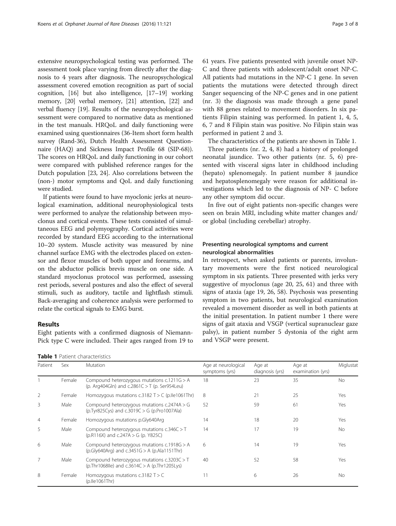extensive neuropsychological testing was performed. The assessment took place varying from directly after the diagnosis to 4 years after diagnosis. The neuropsychological assessment covered emotion recognition as part of social cognition, [[16](#page-7-0)] but also intelligence, [\[17](#page-7-0)–[19](#page-7-0)] working memory, [[20](#page-7-0)] verbal memory, [[21](#page-7-0)] attention, [\[22](#page-7-0)] and verbal fluency [\[19\]](#page-7-0). Results of the neuropsychological assessment were compared to normative data as mentioned in the test manuals. HRQoL and daily functioning were examined using questionnaires (36-Item short form health survey (Rand-36), Dutch Health Assessment Questionnaire (HAQ) and Sickness Impact Profile 68 (SIP-68)). The scores on HRQoL and daily functioning in our cohort were compared with published reference ranges for the Dutch population [\[23, 24\]](#page-7-0). Also correlations between the (non-) motor symptoms and QoL and daily functioning were studied.

If patients were found to have myoclonic jerks at neurological examination, additional neurophysiological tests were performed to analyze the relationship between myoclonus and cortical events. These tests consisted of simultaneous EEG and polymyography. Cortical activities were recorded by standard EEG according to the international 10–20 system. Muscle activity was measured by nine channel surface EMG with the electrodes placed on extensor and flexor muscles of both upper and forearms, and on the abductor pollicis brevis muscle on one side. A standard myoclonus protocol was performed, assessing rest periods, several postures and also the effect of several stimuli, such as auditory, tactile and lightflash stimuli. Back-averaging and coherence analysis were performed to relate the cortical signals to EMG burst.

# Results

Eight patients with a confirmed diagnosis of Niemann-Pick type C were included. Their ages ranged from 19 to

Table 1 Patient characteristics

61 years. Five patients presented with juvenile onset NP-C and three patients with adolescent/adult onset NP-C. All patients had mutations in the NP-C 1 gene. In seven patients the mutations were detected through direct Sanger sequencing of the NP-C genes and in one patient (nr. 3) the diagnosis was made through a gene panel with 88 genes related to movement disorders. In six patients Filipin staining was performed. In patient 1, 4, 5, 6, 7 and 8 Filipin stain was positive. No Filipin stain was performed in patient 2 and 3.

The characteristics of the patients are shown in Table 1. Three patients (nr. 2, 4, 8) had a history of prolonged neonatal jaundice. Two other patients (nr. 5, 6) presented with visceral signs later in childhood including (hepato) splenomegaly. In patient number 8 jaundice and hepatosplenomegaly were reason for additional investigations which led to the diagnosis of NP- C before any other symptom did occur.

In five out of eight patients non-specific changes were seen on brain MRI, including white matter changes and/ or global (including cerebellar) atrophy.

# Presenting neurological symptoms and current neurological abnormalities

In retrospect, when asked patients or parents, involuntary movements were the first noticed neurological symptom in six patients. Three presented with jerks very suggestive of myoclonus (age 20, 25, 61) and three with signs of ataxia (age 19, 26, 58). Psychosis was presenting symptom in two patients, but neurological examination revealed a movement disorder as well in both patients at the initial presentation. In patient number 1 there were signs of gait ataxia and VSGP (vertical supranuclear gaze palsy), in patient number 5 dystonia of the right arm and VSGP were present.

| Patient        | Sex    | <b>Mutation</b>                                                                                | Age at neurological<br>symptoms (yrs) | Age at<br>diagnosis (yrs) | Age at<br>examination (yrs) | Miglustat |
|----------------|--------|------------------------------------------------------------------------------------------------|---------------------------------------|---------------------------|-----------------------------|-----------|
|                | Female | Compound heterozygous mutations c.1211G > A<br>(p. Arg404Gln) and c.2861C > T (p. Ser954Leu)   | 18                                    | 23                        | 35                          | No.       |
| $\overline{2}$ | Female | Homozygous mutations c.3182 $T > C$ (p.lle1061Thr)                                             | 8                                     | 21                        | 25                          | Yes       |
| 3              | Male   | Compound heterozygous mutations $c.2474A > G$<br>(p.Tyr825Cys) and c.3019C > G (p.Pro1007Ala)  | 52                                    | 59                        | 61                          | Yes       |
| $\overline{4}$ | Female | Homozygous mutations p.Gly640Arg                                                               | 14                                    | 18                        | 20                          | Yes       |
| 5              | Male   | Compound heterozygous mutations $c.346C > T$<br>(p.R116X) and c.247A $>$ G (p. Y825C)          | 14                                    | 17                        | 19                          | No        |
| 6              | Male   | Compound heterozygous mutations c.1918G > A<br>$(p.Gly640Arg)$ and $c.3451G > A(p.Ala1151Thr)$ | 6                                     | 14                        | 19                          | Yes       |
| $\overline{7}$ | Male   | Compound heterozygous mutations c.3203C > T<br>(p.Thr1068lle) and $c.3614C > A$ (p.Thr1205Lys) | 40                                    | 52                        | 58                          | Yes       |
| 8              | Female | Homozygous mutations c.3182 $T > C$<br>(p.lle1061Thr)                                          | 11                                    | 6                         | 26                          | <b>No</b> |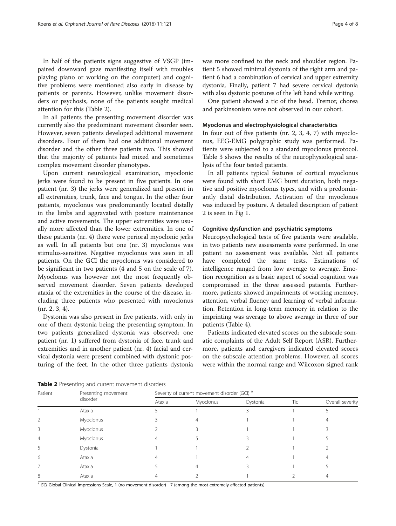In half of the patients signs suggestive of VSGP (impaired downward gaze manifesting itself with troubles playing piano or working on the computer) and cognitive problems were mentioned also early in disease by patients or parents. However, unlike movement disorders or psychosis, none of the patients sought medical attention for this (Table 2).

In all patients the presenting movement disorder was currently also the predominant movement disorder seen. However, seven patients developed additional movement disorders. Four of them had one additional movement disorder and the other three patients two. This showed that the majority of patients had mixed and sometimes complex movement disorder phenotypes.

Upon current neurological examination, myoclonic jerks were found to be present in five patients. In one patient (nr. 3) the jerks were generalized and present in all extremities, trunk, face and tongue. In the other four patients, myoclonus was predominantly located distally in the limbs and aggravated with posture maintenance and active movements. The upper extremities were usually more affected than the lower extremities. In one of these patients (nr. 4) there were perioral myoclonic jerks as well. In all patients but one (nr. 3) myoclonus was stimulus-sensitive. Negative myoclonus was seen in all patients. On the GCI the myoclonus was considered to be significant in two patients (4 and 5 on the scale of 7). Myoclonus was however not the most frequently observed movement disorder. Seven patients developed ataxia of the extremities in the course of the disease, including three patients who presented with myoclonus (nr. 2, 3, 4).

Dystonia was also present in five patients, with only in one of them dystonia being the presenting symptom. In two patients generalized dystonia was observed; one patient (nr. 1) suffered from dystonia of face, trunk and extremities and in another patient (nr. 4) facial and cervical dystonia were present combined with dystonic posturing of the feet. In the other three patients dystonia was more confined to the neck and shoulder region. Patient 5 showed minimal dystonia of the right arm and patient 6 had a combination of cervical and upper extremity dystonia. Finally, patient 7 had severe cervical dystonia with also dystonic postures of the left hand while writing.

One patient showed a tic of the head. Tremor, chorea and parkinsonism were not observed in our cohort.

### Myoclonus and electrophysiological characteristics

In four out of five patients (nr. 2, 3, 4, 7) with myoclonus, EEG-EMG polygraphic study was performed. Patients were subjected to a standard myoclonus protocol. Table [3](#page-4-0) shows the results of the neurophysiological analysis of the four tested patients.

In all patients typical features of cortical myoclonus were found with short EMG burst duration, both negative and positive myoclonus types, and with a predominantly distal distribution. Activation of the myoclonus was induced by posture. A detailed description of patient 2 is seen in Fig [1.](#page-4-0)

## Cognitive dysfunction and psychiatric symptoms

Neuropsychological tests of five patients were available, in two patients new assessments were performed. In one patient no assessment was available. Not all patients have completed the same tests. Estimations of intelligence ranged from low average to average. Emotion recognition as a basic aspect of social cognition was compromised in the three assessed patients. Furthermore, patients showed impairments of working memory, attention, verbal fluency and learning of verbal information. Retention in long-term memory in relation to the imprinting was average to above average in three of our patients (Table [4](#page-5-0)).

Patients indicated elevated scores on the subscale somatic complaints of the Adult Self Report (ASR). Furthermore, patients and caregivers indicated elevated scores on the subscale attention problems. However, all scores were within the normal range and Wilcoxon signed rank

Table 2 Presenting and current movement disorders

| Patient | Presenting movement<br>disorder | Severity of current movement disorder (GCI) <sup>a</sup> |           |          |     |                  |  |
|---------|---------------------------------|----------------------------------------------------------|-----------|----------|-----|------------------|--|
|         |                                 | Ataxia                                                   | Myoclonus | Dystonia | Tic | Overall severity |  |
|         | Ataxia                          |                                                          |           |          |     |                  |  |
|         | Myoclonus                       |                                                          |           |          |     |                  |  |
|         | Myoclonus                       |                                                          |           |          |     |                  |  |
| 4       | Myoclonus                       |                                                          |           |          |     |                  |  |
|         | Dystonia                        |                                                          |           |          |     |                  |  |
| 6       | Ataxia                          |                                                          |           |          |     |                  |  |
|         | Ataxia                          |                                                          |           |          |     |                  |  |
| 8       | Ataxia                          |                                                          |           |          |     |                  |  |

<sup>a</sup> GCI Global Clinical Impressions Scale, 1 (no movement disorder) - 7 (among the most extremely affected patients)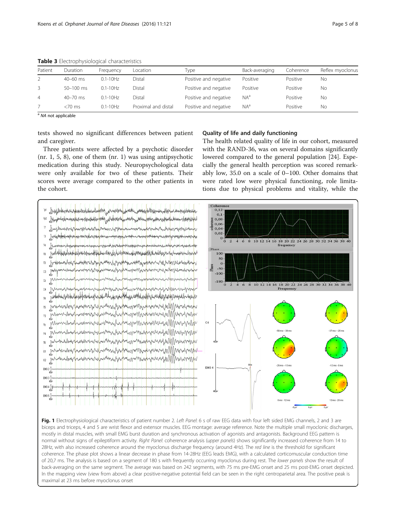| Patient | <b>Duration</b> | Freauency     | Location            | Type                  | Back-averaging | Coherence | Reflex myoclonus |
|---------|-----------------|---------------|---------------------|-----------------------|----------------|-----------|------------------|
|         | $40 - 60$ ms    | $0.1 - 10$ Hz | Distal              | Positive and negative | Positive       | Positive  | Nο               |
| 3       | $50 - 100$ ms   | $0.1 - 10$ Hz | Distal              | Positive and negative | Positive       | Positive  | No               |
| 4       | $40 - 70$ ms    | $0.1 - 10$ Hz | Distal              | Positive and negative | $NA^a$         | Positive  | Νo               |
|         | $<$ 70 ms       | $0.1 - 10$ Hz | Proximal and distal | Positive and negative | $NA^a$         | Positive  | Νo               |
|         |                 |               |                     |                       |                |           |                  |

<span id="page-4-0"></span>Table 3 Electrophysiological characteristics

<sup>a</sup> NA not applicable

tests showed no significant differences between patient and caregiver.

Three patients were affected by a psychotic disorder (nr. 1, 5, 8), one of them (nr. 1) was using antipsychotic medication during this study. Neuropsychological data were only available for two of these patients. Their scores were average compared to the other patients in the cohort.

# Quality of life and daily functioning

The health related quality of life in our cohort, measured with the RAND-36, was on several domains significantly lowered compared to the general population [\[24](#page-7-0)]. Especially the general health perception was scored remarkably low, 35.0 on a scale of 0–100. Other domains that were rated low were physical functioning, role limitations due to physical problems and vitality, while the



biceps and triceps, 4 and 5 are wrist flexor and extensor muscles. EEG montage: average reference. Note the multiple small myoclonic discharges, mostly in distal muscles, with small EMG burst duration and synchronous activation of agonists and antagonists. Background EEG pattern is normal without signs of epileptiform activity. Right Panel: coherence analysis (upper panels) shows significantly increased coherence from 14 to 28Hz, with also increased coherence around the myoclonus discharge frequency (around 4Hz). The red line is the threshold for significant coherence. The phase plot shows a linear decrease in phase from 14-28Hz (EEG leads EMG), with a calculated corticomuscular conduction time of 20,7 ms. The analysis is based on a segment of 180 s with frequently occurring myoclonus during rest. The lower panels show the result of back-averaging on the same segment. The average was based on 242 segments, with 75 ms pre-EMG onset and 25 ms post-EMG onset depicted. In the mapping view (view from above) a clear positive-negative potential field can be seen in the right centroparietal area. The positive peak is maximal at 23 ms before myoclonus onset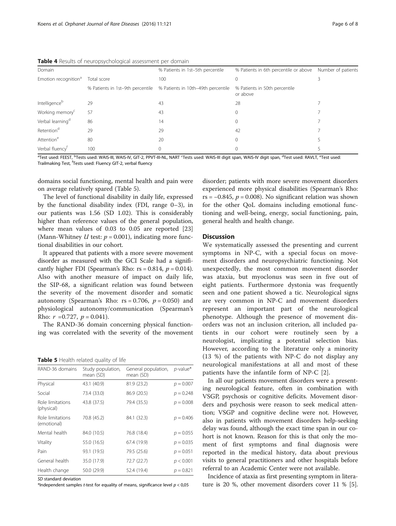<span id="page-5-0"></span>Table 4 Results of neuropsychological assessment per domain

|                                  | .           |                                                                     |                                                          |  |
|----------------------------------|-------------|---------------------------------------------------------------------|----------------------------------------------------------|--|
| Domain                           |             | % Patients in 1st-5th percentile                                    | % Patients in 6th percentile or above Number of patients |  |
| Emotion recognition <sup>a</sup> | Total score | 100                                                                 |                                                          |  |
|                                  |             | % Patients in 1st-9th percentile % Patients in 10th-49th percentile | % Patients in 50th percentile<br>or above                |  |
| Intelligenceb                    | 29          | 43                                                                  | 28                                                       |  |
| Working memory <sup>c</sup>      | 57          | 43                                                                  | 0                                                        |  |
| Verbal learning <sup>d</sup>     | 86          | 14                                                                  | 0                                                        |  |
| Retention <sup>d</sup>           | 29          | 29                                                                  | 42                                                       |  |
| Attention <sup>e</sup>           | 80          | 20                                                                  | 0                                                        |  |
| Verbal fluency <sup>f</sup>      | 100         | 0                                                                   |                                                          |  |
|                                  |             |                                                                     |                                                          |  |

<sup>a</sup>Test used: FEEST, <sup>b</sup>Tests used: WAIS-III, WAIS-IV, GIT-2, PPVT-III-NL, NART <sup>c</sup>Tests used: WAIS-III digit span, WAIS-IV digit span, <sup>d</sup>Test used: RAVLT, <sup>e</sup>Test used: Trailmaking Test, <sup>f</sup>Tests used: Fluency GIT-2, verbal fluency

domains social functioning, mental health and pain were on average relatively spared (Table 5).

The level of functional disability in daily life, expressed by the functional disability index (FDI, range 0–3), in our patients was 1.56 (SD 1.02). This is considerably higher than reference values of the general population, where mean values of 0.03 to 0.05 are reported [[23](#page-7-0)] (Mann-Whitney  $U$  test:  $p = 0.001$ ), indicating more functional disabilities in our cohort.

It appeared that patients with a more severe movement disorder as measured with the GCI Scale had a significantly higher FDI (Spearman's Rho:  $rs = 0.814$ ,  $p = 0.014$ ). Also with another measure of impact on daily life, the SIP-68, a significant relation was found between the severity of the movement disorder and somatic autonomy (Spearman's Rho:  $rs = 0.706$ ,  $p = 0.050$ ) and physiological autonomy/communication (Spearman's Rho:  $r = 0.727$ ,  $p = 0.041$ ).

The RAND-36 domain concerning physical functioning was correlated with the severity of the movement

| RAND-36 domains                 | Study population,<br>mean (SD) | General population,<br>mean (SD) | $p$ -value* |
|---------------------------------|--------------------------------|----------------------------------|-------------|
| Physical                        | 43.1 (40.9)                    | 81.9 (23.2)                      | $p = 0.007$ |
| Social                          | 73.4 (33.0)                    | 86.9 (20.5)                      | $p = 0.248$ |
| Role limitations<br>(physical)  | 43.8 (37.5)                    | 79.4 (35.5)                      | $p = 0.008$ |
| Role limitations<br>(emotional) | 70.8 (45.2)                    | 84.1 (32.3)                      | $p = 0.406$ |
| Mental health                   | 84.0 (10.5)                    | 76.8 (18.4)                      | $p = 0.055$ |
| Vitality                        | 55.0 (16.5)                    | 67.4 (19.9)                      | $p = 0.035$ |
| Pain                            | 93.1 (19.5)                    | 79.5 (25.6)                      | $p = 0.051$ |
| General health                  | 35.0 (17.9)                    | 72.7 (22.7)                      | p < 0.001   |
| Health change                   | 50.0 (29.9)                    | 52.4 (19.4)                      | $p = 0.821$ |

SD standard deviation

\*Independent samples t-test for equality of means, significance level  $p < 0.05$ 

disorder; patients with more severe movement disorders experienced more physical disabilities (Spearman's Rho: rs =  $-0.845$ ,  $p = 0.008$ ). No significant relation was shown for the other QoL domains including emotional functioning and well-being, energy, social functioning, pain, general health and health change.

# **Discussion**

We systematically assessed the presenting and current symptoms in NP-C, with a special focus on movement disorders and neuropsychiatric functioning. Not unexpectedly, the most common movement disorder was ataxia, but myoclonus was seen in five out of eight patients. Furthermore dystonia was frequently seen and one patient showed a tic. Neurological signs are very common in NP-C and movement disorders represent an important part of the neurological phenotype. Although the presence of movement disorders was not an inclusion criterion, all included patients in our cohort were routinely seen by a neurologist, implicating a potential selection bias. However, according to the literature only a minority (13 %) of the patients with NP-C do not display any neurological manifestations at all and most of these patients have the infantile form of NP-C [\[2](#page-7-0)].

In all our patients movement disorders were a presenting neurological feature, often in combination with VSGP, psychosis or cognitive deficits. Movement disorders and psychosis were reason to seek medical attention; VSGP and cognitive decline were not. However, also in patients with movement disorders help-seeking delay was found, although the exact time span in our cohort is not known. Reason for this is that only the moment of first symptoms and final diagnosis were reported in the medical history, data about previous visits to general practitioners and other hospitals before referral to an Academic Center were not available.

Incidence of ataxia as first presenting symptom in literature is 20 %, other movement disorders cover 11 % [[5](#page-7-0)].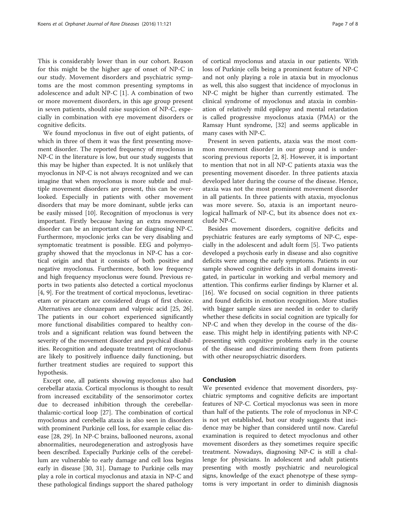This is considerably lower than in our cohort. Reason for this might be the higher age of onset of NP-C in our study. Movement disorders and psychiatric symptoms are the most common presenting symptoms in adolescence and adult NP-C [\[1](#page-7-0)]. A combination of two or more movement disorders, in this age group present in seven patients, should raise suspicion of NP-C, especially in combination with eye movement disorders or cognitive deficits.

We found myoclonus in five out of eight patients, of which in three of them it was the first presenting movement disorder. The reported frequency of myoclonus in NP-C in the literature is low, but our study suggests that this may be higher than expected. It is not unlikely that myoclonus in NP-C is not always recognized and we can imagine that when myoclonus is more subtle and multiple movement disorders are present, this can be overlooked. Especially in patients with other movement disorders that may be more dominant, subtle jerks can be easily missed [\[10](#page-7-0)]. Recognition of myoclonus is very important. Firstly because having an extra movement disorder can be an important clue for diagnosing NP-C. Furthermore, myoclonic jerks can be very disabling and symptomatic treatment is possible. EEG and polymyography showed that the myoclonus in NP-C has a cortical origin and that it consists of both positive and negative myoclonus. Furthermore, both low frequency and high frequency myoclonus were found. Previous reports in two patients also detected a cortical myoclonus [[4, 9\]](#page-7-0). For the treatment of cortical myoclonus, levetiracetam or piracetam are considered drugs of first choice. Alternatives are clonazepam and valproic acid [\[25, 26](#page-7-0)]. The patients in our cohort experienced significantly more functional disabilities compared to healthy controls and a significant relation was found between the severity of the movement disorder and psychical disabilities. Recognition and adequate treatment of myoclonus are likely to positively influence daily functioning, but further treatment studies are required to support this hypothesis.

Except one, all patients showing myoclonus also had cerebellar ataxia. Cortical myoclonus is thought to result from increased excitability of the sensorimotor cortex due to decreased inhibition through the cerebellarthalamic-cortical loop [\[27\]](#page-7-0). The combination of cortical myoclonus and cerebella ataxia is also seen in disorders with prominent Purkinje cell loss, for example celiac disease [\[28, 29](#page-7-0)]. In NP-C brains, ballooned neurons, axonal abnormalities, neurodegeneration and astroglyosis have been described. Especially Purkinje cells of the cerebellum are vulnerable to early damage and cell loss begins early in disease [\[30](#page-7-0), [31](#page-7-0)]. Damage to Purkinje cells may play a role in cortical myoclonus and ataxia in NP-C and these pathological findings support the shared pathology

of cortical myoclonus and ataxia in our patients. With loss of Purkinje cells being a prominent feature of NP-C and not only playing a role in ataxia but in myoclonus as well, this also suggest that incidence of myoclonus in NP-C might be higher than currently estimated. The clinical syndrome of myoclonus and ataxia in combination of relatively mild epilepsy and mental retardation is called progressive myoclonus ataxia (PMA) or the Ramsay Hunt syndrome, [[32\]](#page-7-0) and seems applicable in many cases with NP-C.

Present in seven patients, ataxia was the most common movement disorder in our group and is underscoring previous reports [[2, 8\]](#page-7-0). However, it is important to mention that not in all NP-C patients ataxia was the presenting movement disorder. In three patients ataxia developed later during the course of the disease. Hence, ataxia was not the most prominent movement disorder in all patients. In three patients with ataxia, myoclonus was more severe. So, ataxia is an important neurological hallmark of NP-C, but its absence does not exclude NP-C.

Besides movement disorders, cognitive deficits and psychiatric features are early symptoms of NP-C, especially in the adolescent and adult form [\[5\]](#page-7-0). Two patients developed a psychosis early in disease and also cognitive deficits were among the early symptoms. Patients in our sample showed cognitive deficits in all domains investigated, in particular in working and verbal memory and attention. This confirms earlier findings by Klarner et al. [[16\]](#page-7-0). We focused on social cognition in three patients and found deficits in emotion recognition. More studies with bigger sample sizes are needed in order to clarify whether these deficits in social cognition are typically for NP-C and when they develop in the course of the disease. This might help in identifying patients with NP-C presenting with cognitive problems early in the course of the disease and discriminating them from patients with other neuropsychiatric disorders.

# Conclusion

We presented evidence that movement disorders, psychiatric symptoms and cognitive deficits are important features of NP-C. Cortical myoclonus was seen in more than half of the patients. The role of myoclonus in NP-C is not yet established, but our study suggests that incidence may be higher than considered until now. Careful examination is required to detect myoclonus and other movement disorders as they sometimes require specific treatment. Nowadays, diagnosing NP-C is still a challenge for physicians. In adolescent and adult patients presenting with mostly psychiatric and neurological signs, knowledge of the exact phenotype of these symptoms is very important in order to diminish diagnosis